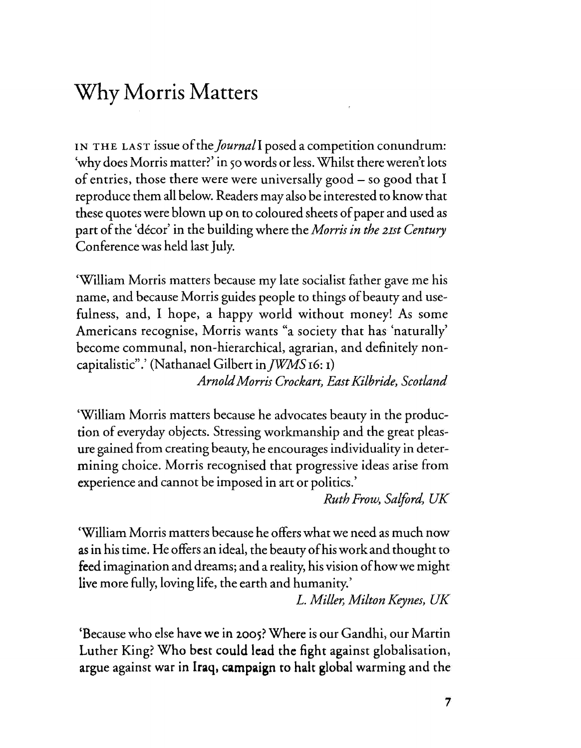## Why Morris Matters

IN THE LAST issue of the *Journal* I posed a competition conundrum: 'why does Morris matter?' in 50 words or less. Whilst there weren't lots of entries, those there were were universally good - so good that I reproduce them all below. Readers may also be interested to know that these quotes were blown up on to coloured sheets of paper and used as part of the 'décor' in the building where the *Morris in the 21st Century* Conference was held last July.

'William Morris matters because my late socialist father gave me his name, and because Morris guides people to things of beauty and usefulness, and, I hope, a happy world without money! As some Americans recognise, Morris wants "a society that has 'naturally' become communal, non-hierarchical, agrarian, and definitely noncapitalistic".' (Nathanael Gilbert in *JWMS* 16: 1)

*ArnoldMorris Crockart, EastKilbride, Scotland*

'William Morris matters because he advocates beauty in the production of everyday objects. Stressing workmanship and the great pleasure gained from creating beauty, he encourages individuality in determining choice. Morris recognised that progressive ideas arise from experience and cannot be imposed in art or politics.'

*RuthFrow, Salford,* UK

'William Morris matters because he offers what we need as much now as in his time. He offers an ideal, the beauty ofhis work and thought to feed imagination and dreams; and a reality, his vision of how we might live more fully, loving life, the earth and humanity.'

L. *Miller, MiltonKeynes, UK*

'Because who else have we in 200S?Where is our Gandhi, our Martin Luther King? Who best could lead the fight against globalisation, argue against war in Iraq, campaign to halt global warming and the